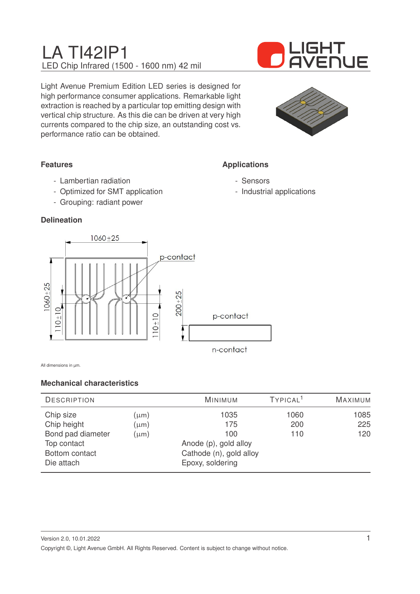

Light Avenue Premium Edition LED series is designed for high performance consumer applications. Remarkable light extraction is reached by a particular top emitting design with vertical chip structure. As this die can be driven at very high currents compared to the chip size, an outstanding cost vs. performance ratio can be obtained.



**Applications**

- Sensors

- Industrial applications

## **Features**

- Lambertian radiation
- Optimized for SMT application
- Grouping: radiant power

### **Delineation**



All dimensions in µm.

### **Mechanical characteristics**

| <b>DESCRIPTION</b> |                         | <b>MINIMUM</b>        | TYPICAL <sup>1</sup> | <b>MAXIMUM</b> |
|--------------------|-------------------------|-----------------------|----------------------|----------------|
| Chip size          | (µm)                    | 1035                  | 1060                 | 1085           |
| Chip height        | $(\mu m)$               | 175                   | 200                  | 225            |
| Bond pad diameter  | $(\mu m)$               | 100                   | 110                  | 120            |
| Top contact        |                         | Anode (p), gold alloy |                      |                |
| Bottom contact     | Cathode (n), gold alloy |                       |                      |                |
| Die attach         |                         | Epoxy, soldering      |                      |                |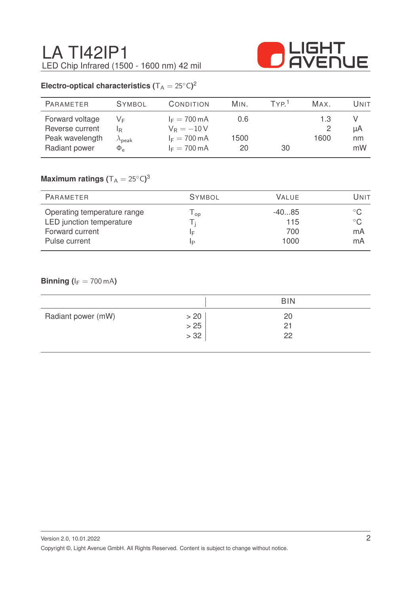

# **Electro-optical characteristics (** $T_A = 25^{\circ}C$ )<sup>2</sup>

| <b>PARAMETER</b>                                                       | <b>SYMBOL</b>                                 | CONDITION                                                                                  | MIN.              | TYP <sup>1</sup> | MAX.        | Unit           |
|------------------------------------------------------------------------|-----------------------------------------------|--------------------------------------------------------------------------------------------|-------------------|------------------|-------------|----------------|
| Forward voltage<br>Reverse current<br>Peak wavelength<br>Radiant power | VF<br>IR.<br>$\lambda_{\sf peak}$<br>$\Phi_e$ | $I_F = 700 \text{ mA}$<br>$V_R = -10V$<br>$I_F = 700 \text{ mA}$<br>$I_F = 700 \text{ mA}$ | 0.6<br>1500<br>20 | 30               | 1.3<br>1600 | μA<br>nm<br>mW |
|                                                                        |                                               |                                                                                            |                   |                  |             |                |

## $\mathsf{Maximum}$  ratings  $(\mathsf{T_A} = 25^\circ\mathsf{C})^3$

| PARAMETER                   | <b>SYMBOL</b> | <b>VALUE</b> | Unit         |
|-----------------------------|---------------|--------------|--------------|
| Operating temperature range | op            | $-4085$      |              |
| LED junction temperature    |               | 115          | $^{\circ}$ C |
| Forward current             | F             | 700          | mA           |
| Pulse current               | IP            | 1000         | mA           |

### **Binning (** $I_F = 700$  mA)

|                    |      | <b>BIN</b> |  |
|--------------------|------|------------|--|
| Radiant power (mW) | > 20 | 20         |  |
|                    | > 25 | 21         |  |
|                    | > 32 | 22         |  |
|                    |      |            |  |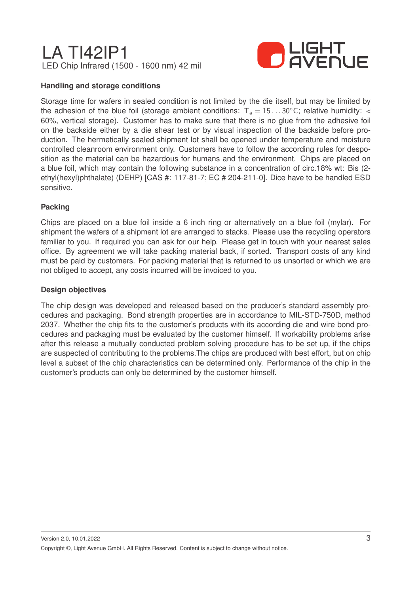

#### **Handling and storage conditions**

Storage time for wafers in sealed condition is not limited by the die itself, but may be limited by the adhesion of the blue foil (storage ambient conditions:  $T_a = 15...30^{\circ}$ C; relative humidity: < 60%, vertical storage). Customer has to make sure that there is no glue from the adhesive foil on the backside either by a die shear test or by visual inspection of the backside before production. The hermetically sealed shipment lot shall be opened under temperature and moisture controlled cleanroom environment only. Customers have to follow the according rules for desposition as the material can be hazardous for humans and the environment. Chips are placed on a blue foil, which may contain the following substance in a concentration of circ.18% wt: Bis (2 ethyl(hexyl)phthalate) (DEHP) [CAS #: 117-81-7; EC # 204-211-0]. Dice have to be handled ESD sensitive.

#### **Packing**

Chips are placed on a blue foil inside a 6 inch ring or alternatively on a blue foil (mylar). For shipment the wafers of a shipment lot are arranged to stacks. Please use the recycling operators familiar to you. If required you can ask for our help. Please get in touch with your nearest sales office. By agreement we will take packing material back, if sorted. Transport costs of any kind must be paid by customers. For packing material that is returned to us unsorted or which we are not obliged to accept, any costs incurred will be invoiced to you.

#### **Design objectives**

The chip design was developed and released based on the producer's standard assembly procedures and packaging. Bond strength properties are in accordance to MIL-STD-750D, method 2037. Whether the chip fits to the customer's products with its according die and wire bond procedures and packaging must be evaluated by the customer himself. If workability problems arise after this release a mutually conducted problem solving procedure has to be set up, if the chips are suspected of contributing to the problems.The chips are produced with best effort, but on chip level a subset of the chip characteristics can be determined only. Performance of the chip in the customer's products can only be determined by the customer himself.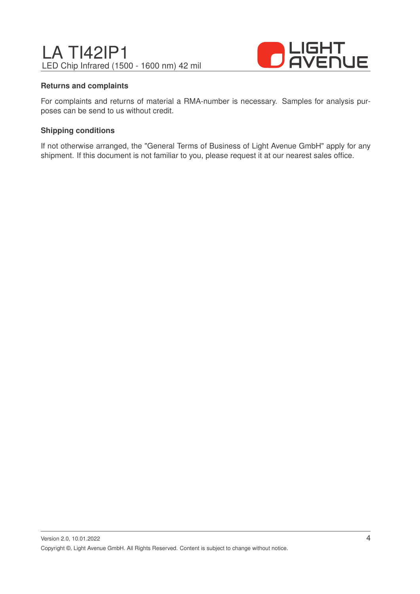

#### **Returns and complaints**

For complaints and returns of material a RMA-number is necessary. Samples for analysis purposes can be send to us without credit.

#### **Shipping conditions**

If not otherwise arranged, the "General Terms of Business of Light Avenue GmbH" apply for any shipment. If this document is not familiar to you, please request it at our nearest sales office.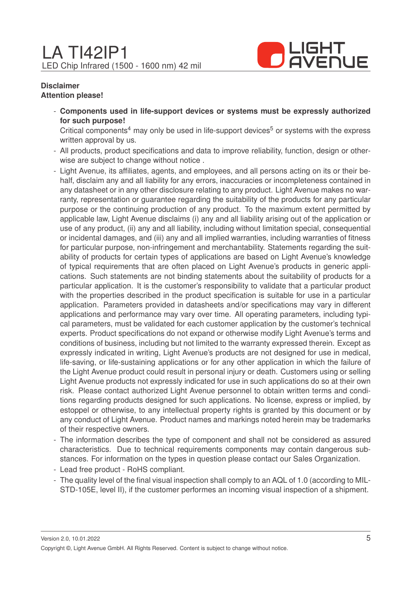

#### **Disclaimer Attention please!**

- **Components used in life-support devices or systems must be expressly authorized for such purpose!**

Critical components<sup>4</sup> may only be used in life-support devices<sup>5</sup> or systems with the express written approval by us.

- All products, product specifications and data to improve reliability, function, design or otherwise are subject to change without notice .
- Light Avenue, its affiliates, agents, and employees, and all persons acting on its or their behalf, disclaim any and all liability for any errors, inaccuracies or incompleteness contained in any datasheet or in any other disclosure relating to any product. Light Avenue makes no warranty, representation or guarantee regarding the suitability of the products for any particular purpose or the continuing production of any product. To the maximum extent permitted by applicable law, Light Avenue disclaims (i) any and all liability arising out of the application or use of any product, (ii) any and all liability, including without limitation special, consequential or incidental damages, and (iii) any and all implied warranties, including warranties of fitness for particular purpose, non-infringement and merchantability. Statements regarding the suitability of products for certain types of applications are based on Light Avenue's knowledge of typical requirements that are often placed on Light Avenue's products in generic applications. Such statements are not binding statements about the suitability of products for a particular application. It is the customer's responsibility to validate that a particular product with the properties described in the product specification is suitable for use in a particular application. Parameters provided in datasheets and/or specifications may vary in different applications and performance may vary over time. All operating parameters, including typical parameters, must be validated for each customer application by the customer's technical experts. Product specifications do not expand or otherwise modify Light Avenue's terms and conditions of business, including but not limited to the warranty expressed therein. Except as expressly indicated in writing, Light Avenue's products are not designed for use in medical, life-saving, or life-sustaining applications or for any other application in which the failure of the Light Avenue product could result in personal injury or death. Customers using or selling Light Avenue products not expressly indicated for use in such applications do so at their own risk. Please contact authorized Light Avenue personnel to obtain written terms and conditions regarding products designed for such applications. No license, express or implied, by estoppel or otherwise, to any intellectual property rights is granted by this document or by any conduct of Light Avenue. Product names and markings noted herein may be trademarks of their respective owners.
- The information describes the type of component and shall not be considered as assured characteristics. Due to technical requirements components may contain dangerous substances. For information on the types in question please contact our Sales Organization.
- Lead free product RoHS compliant.
- The quality level of the final visual inspection shall comply to an AQL of 1.0 (according to MIL-STD-105E, level II), if the customer performes an incoming visual inspection of a shipment.